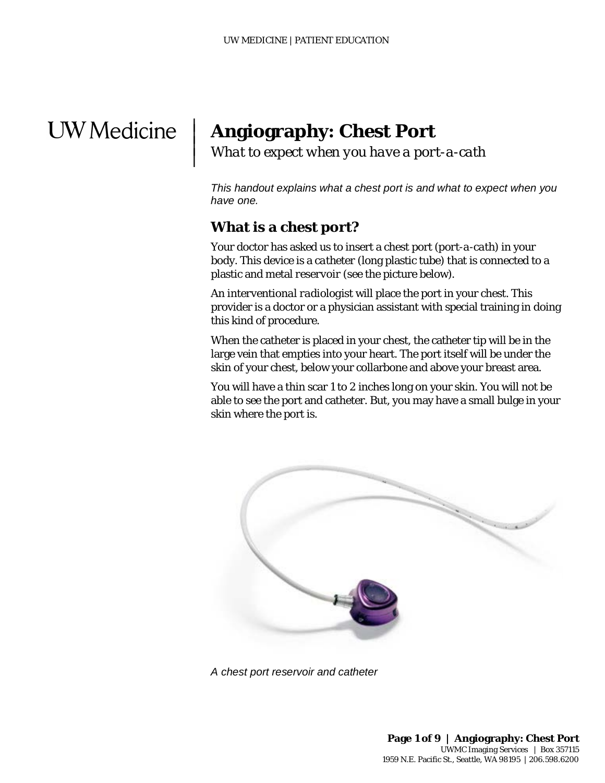# **UW** Medicine

 $\overline{\phantom{a}}$  $\vert$  $\vert$  $\vert$ 

# **Angiography: Chest Port**

*What to expect when you have a port-a-cath*

*This handout explains what a chest port is and what to expect when you have one.*

#### **What is a chest port?**

Your doctor has asked us to insert a chest port (*port-a-cath*) in your body. This device is a *catheter* (long plastic tube) that is connected to a plastic and metal *reservoir* (see the picture below).

plastic and metal *reservoir* (see the picture below).<br>An *interventional radiologist* will place the port in your chest. This<br>provider is a doctor or a physician assistant with special training in<br>this kind of procedure.<br> An *interventional radiologist* will place the port in your chest. This provider is a doctor or a physician assistant with special training in doing this kind of procedure.

When the catheter is placed in your chest, the catheter tip will be in the large vein that empties into your heart. The port itself will be under the skin of your chest, below your collarbone and above your breast area.

You will have a thin scar 1 to 2 inches long on your skin. You will not be able to see the port and catheter. But, you may have a small bulge in your skin where the port is.



*A chest port reservoir and catheter*

 $\_$  ,  $\_$  ,  $\_$  ,  $\_$  ,  $\_$  ,  $\_$  ,  $\_$  ,  $\_$  ,  $\_$  ,  $\_$  ,  $\_$  ,  $\_$  ,  $\_$  ,  $\_$  ,  $\_$  ,  $\_$  ,  $\_$  ,  $\_$  ,  $\_$  ,  $\_$  ,  $\_$  ,  $\_$  ,  $\_$  ,  $\_$  ,  $\_$  ,  $\_$  ,  $\_$  ,  $\_$  ,  $\_$  ,  $\_$  ,  $\_$  ,  $\_$  ,  $\_$  ,  $\_$  ,  $\_$  ,  $\_$  ,  $\_$  ,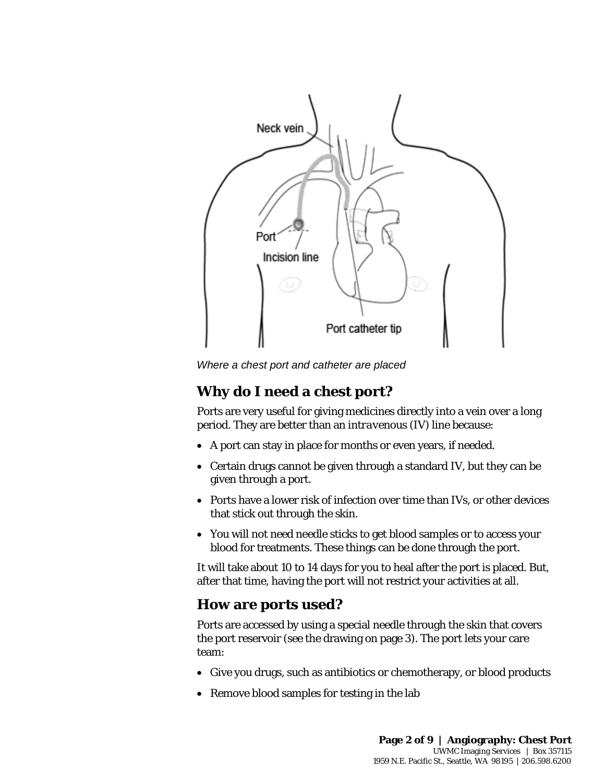

#### **Why do I need a chest port?**

Ports are very useful for giving medicines directly into a vein over a long period. They are better than an *intravenous* (IV) line because:

- A port can stay in place for months or even years, if needed.
- Certain drugs cannot be given through a standard IV, but they can be given through a port.
- Ports have a lower risk of infection over time than IVs, or other devices that stick out through the skin.
- You will not need needle sticks to get blood samples or to access your blood for treatments. These things can be done through the port.

It will take about 10 to 14 days for you to heal after the port is placed. But, after that time, having the port will not restrict your activities at all.

#### **How are ports used?**

Ports are accessed by using a special needle through the skin that covers the port reservoir (see the drawing on page 3). The port lets your care team:

- Give you drugs, such as antibiotics or chemotherapy, or blood products
- Remove blood samples for testing in the lab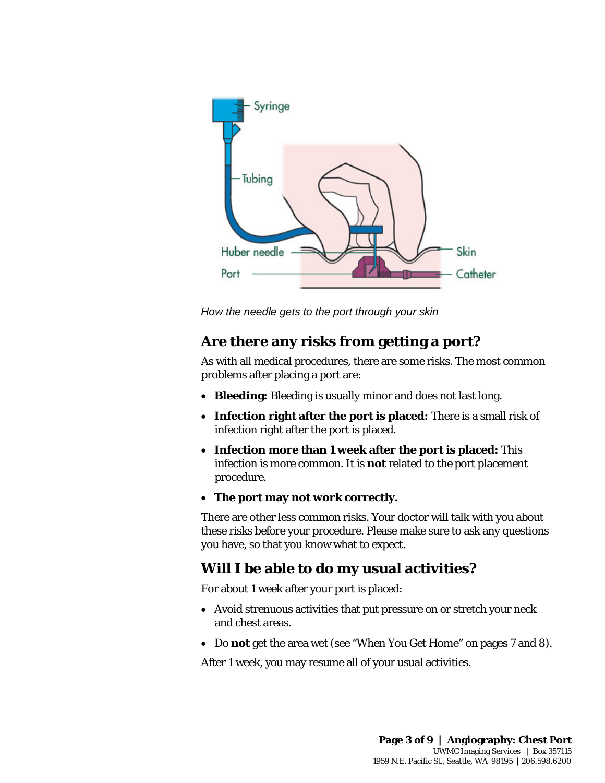

#### **Are there any risks from getting a port?**

How the needle gets to the port through your skin<br> **Are there any risks from getting a port?**<br>
As with all medical procedures, there are some risks. The most common<br>
problems after placing a port are:<br>
• **Bleeding:** Bleedi As with all medical procedures, there are some risks. The most common problems after placing a port are:

- **Bleeding:** Bleeding is usually minor and does not last long.
- **Infection right after the port is placed:** There is a small risk of infection right after the port is placed.
- **Infection more than 1 week after the port is placed:** This infection is more common. It is **not** related to the port placement procedure.
- **The port may not work correctly.**

There are other less common risks. Your doctor will talk with you about these risks before your procedure. Please make sure to ask any questions you have, so that you know what to expect.

#### **Will I be able to do my usual activities?**

For about 1 week after your port is placed:

 $\bot$  , and the state of the state of the state of the state of the state of the state of the state of the state of the state of the state of the state of the state of the state of the state of the state of the state of th

- Avoid strenuous activities that put pressure on or stretch your neck and chest areas.
- Do **not** get the area wet (see "When You Get Home" on pages 7 and 8).

After 1 week, you may resume all of your usual activities.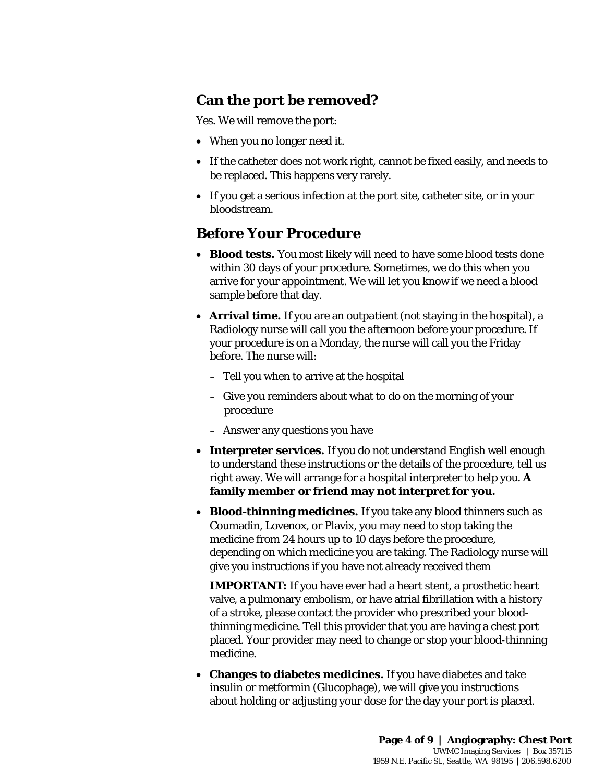#### **Can the port be removed?**

Yes. We will remove the port:

- When you no longer need it.
- If the catheter does not work right, cannot be fixed easily, and needs to be replaced. This happens very rarely.
- If you get a serious infection at the port site, catheter site, or in your bloodstream.

#### **Before Your Procedure**

- **Blood tests.** You most likely will need to have some blood tests done within 30 days of your procedure. Sometimes, we do this when you arrive for your appointment. We will let you know if we need a blood sample before that day.
- Trive for your appointment. We will let you know if we need a blood<br>sample before that day.<br>
 **Arrival time.** If you are an *outpatient* (not staying in the hospital), a<br>
Radiology nurse will call you the afternoon before • **Arrival time.** If you are an *outpatient* (not staying in the hospital), a Radiology nurse will call you the afternoon before your procedure. If your procedure is on a Monday, the nurse will call you the Friday before. The nurse will:
	- Tell you when to arrive at the hospital
	- Give you reminders about what to do on the morning of your procedure
	- Answer any questions you have
	- **Interpreter services.** If you do not understand English well enough to understand these instructions or the details of the procedure, tell us right away. We will arrange for a hospital interpreter to help you. **A family member or friend may not interpret for you.**
	- **Blood-thinning medicines.** If you take any blood thinners such as Coumadin, Lovenox, or Plavix, you may need to stop taking the medicine from 24 hours up to 10 days before the procedure, depending on which medicine you are taking. The Radiology nurse will give you instructions if you have not already received them

**IMPORTANT:** If you have ever had a heart stent, a prosthetic heart valve, a pulmonary embolism, or have atrial fibrillation with a history of a stroke, please contact the provider who prescribed your bloodthinning medicine. Tell this provider that you are having a chest port placed. Your provider may need to change or stop your blood-thinning medicine.

• **Changes to diabetes medicines.** If you have diabetes and take insulin or metformin (Glucophage), we will give you instructions about holding or adjusting your dose for the day your port is placed.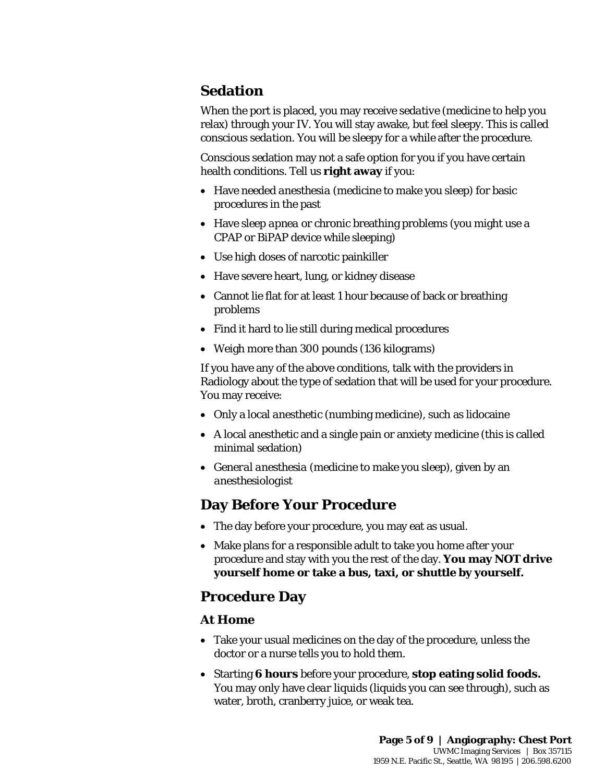# **Sedation**

When the port is placed, you may receive *sedative* (medicine to help you relax) through your IV. You will stay awake, but feel sleepy. This is called *conscious sedation*. You will be sleepy for a while after the procedure.

Conscious sedation may not a safe option for you if you have certain health conditions. Tell us **right away** if you:

- Have needed *anesthesia* (medicine to make you sleep) for basic procedures in the past
- Have *sleep apnea* or chronic breathing problems (you might use a CPAP or BiPAP device while sleeping)
- Use high doses of narcotic painkiller
- Have severe heart, lung, or kidney disease
- Cannot lie flat for at least 1 hour because of back or breathing problems
- Find it hard to lie still during medical procedures
- Weigh more than 300 pounds (136 kilograms)

• Cannot lie flat for at least 1 hour because of back or breathing<br>problems<br>• Find it hard to lie still during medical procedures<br>• Weigh more than 300 pounds (136 kilograms)<br>If you have any of the above conditions, talk w If you have any of the above conditions, talk with the providers in Radiology about the type of sedation that will be used for your procedure. You may receive:

- Only a local *anesthetic* (numbing medicine), such as lidocaine
- A local anesthetic and a single pain or anxiety medicine (this is called minimal sedation)
- *General anesthesia* (medicine to make you sleep), given by an *anesthesiologist*

#### **Day Before Your Procedure**

 $\bot$  , and the state of the state of the state of the state of the state of the state of the state of the state of the state of the state of the state of the state of the state of the state of the state of the state of th

- The day before your procedure, you may eat as usual.
- Make plans for a responsible adult to take you home after your procedure and stay with you the rest of the day. **You may NOT drive yourself home or take a bus, taxi, or shuttle by yourself.**

#### **Procedure Day**

#### **At Home**

- Take your usual medicines on the day of the procedure, unless the doctor or a nurse tells you to hold them.
- Starting **6 hours** before your procedure, **stop eating solid foods.** You may only have *clear liquids* (liquids you can see through), such as water, broth, cranberry juice, or weak tea.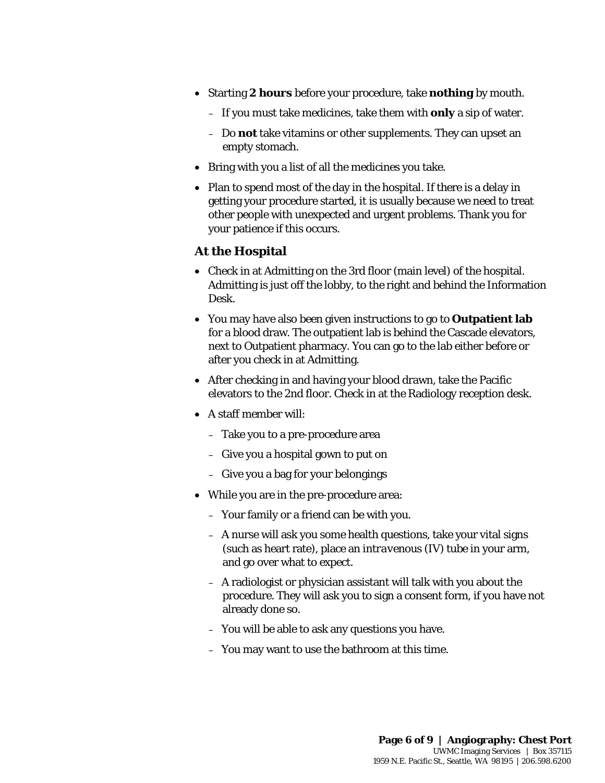- Starting **2 hours** before your procedure, take **nothing** by mouth.
	- If you must take medicines, take them with **only** a sip of water.
	- Do **not** take vitamins or other supplements. They can upset an empty stomach.
- Bring with you a list of all the medicines you take.
- Plan to spend most of the day in the hospital. If there is a delay in getting your procedure started, it is usually because we need to treat other people with unexpected and urgent problems. Thank you for your patience if this occurs.

#### **At the Hospital**

- Check in at Admitting on the 3rd floor (main level) of the hospital. Admitting is just off the lobby, to the right and behind the Information Desk.
- Admitting is just off the lobby, to the right and behind the Information<br>Desk.<br>• You may have also been given instructions to go to **Outpatient lab**<br>for a blood draw. The outpatient lab is behind the Cascade elevators,<br>nex • You may have also been given instructions to go to **Outpatient lab** for a blood draw. The outpatient lab is behind the Cascade elevators, next to Outpatient pharmacy. You can go to the lab either before or after you check in at Admitting.
	- After checking in and having your blood drawn, take the Pacific elevators to the 2nd floor. Check in at the Radiology reception desk.
	- A staff member will:
		- Take you to a pre-procedure area
		- Give you a hospital gown to put on
		- Give you a bag for your belongings
	- While you are in the pre-procedure area:
		- Your family or a friend can be with you.
		- A nurse will ask you some health questions, take your vital signs (such as heart rate), place an *intravenous* (IV) tube in your arm, and go over what to expect.
		- A radiologist or physician assistant will talk with you about the procedure. They will ask you to sign a consent form, if you have not already done so.
		- You will be able to ask any questions you have.
		- You may want to use the bathroom at this time.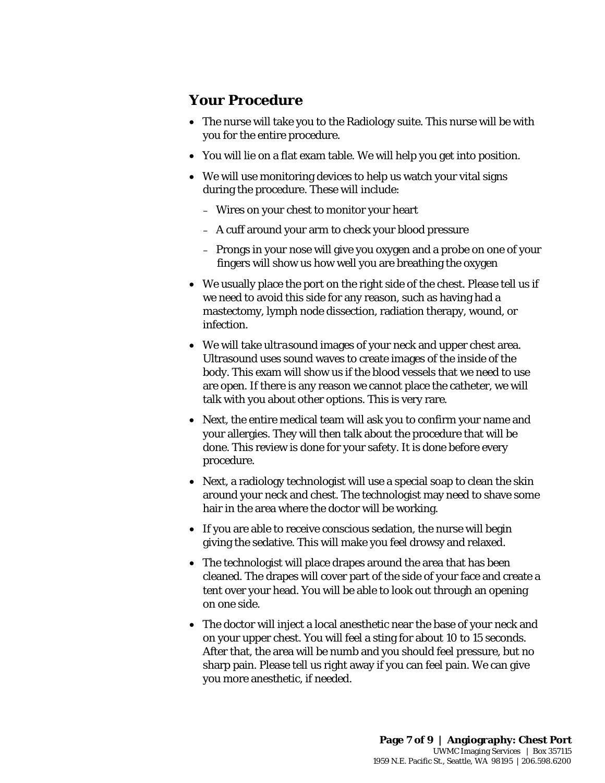#### **Your Procedure**

- The nurse will take you to the Radiology suite. This nurse will be with you for the entire procedure.
- You will lie on a flat exam table. We will help you get into position.
- We will use monitoring devices to help us watch your vital signs during the procedure. These will include:
	- Wires on your chest to monitor your heart
	- A cuff around your arm to check your blood pressure
	- Prongs in your nose will give you oxygen and a probe on one of your fingers will show us how well you are breathing the oxygen
- We usually place the port on the right side of the chest. Please tell us if we need to avoid this side for any reason, such as having had a mastectomy, lymph node dissection, radiation therapy, wound, or infection.
- We usually place the port on the right side of the chest. Please tell us if<br>we need to avoid this side for any reason, such as having had a<br>mastectomy, lymph node dissection, radiation therapy, wound, or<br>infection.<br>• We • We will take *ultrasound* images of your neck and upper chest area. Ultrasound uses sound waves to create images of the inside of the body. This exam will show us if the blood vessels that we need to use are open. If there is any reason we cannot place the catheter, we will talk with you about other options. This is very rare.
	- Next, the entire medical team will ask you to confirm your name and your allergies. They will then talk about the procedure that will be done. This review is done for your safety. It is done before every procedure.
	- Next, a radiology technologist will use a special soap to clean the skin around your neck and chest. The technologist may need to shave some hair in the area where the doctor will be working.
	- If you are able to receive conscious sedation, the nurse will begin giving the sedative. This will make you feel drowsy and relaxed.
	- The technologist will place drapes around the area that has been cleaned. The drapes will cover part of the side of your face and create a tent over your head. You will be able to look out through an opening on one side.
	- The doctor will inject a local anesthetic near the base of your neck and on your upper chest. You will feel a sting for about 10 to 15 seconds. After that, the area will be numb and you should feel pressure, but no sharp pain. Please tell us right away if you can feel pain. We can give you more anesthetic, if needed.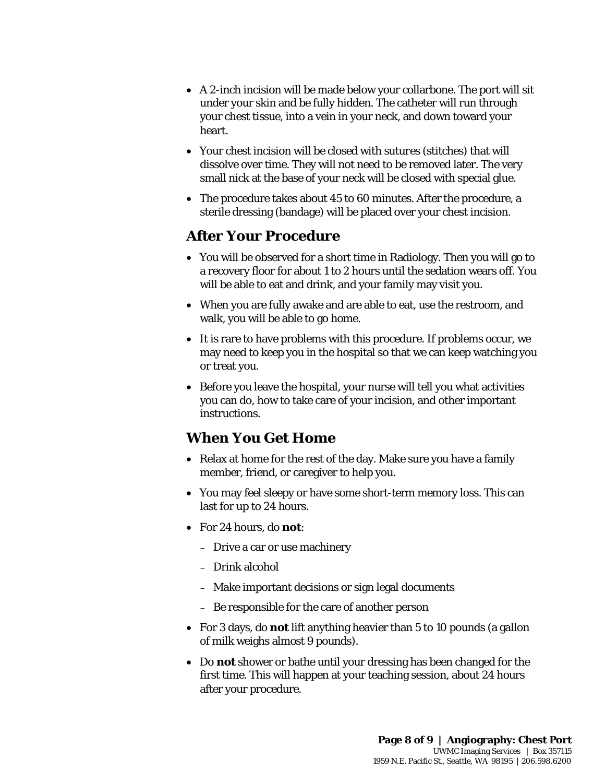- A 2-inch incision will be made below your collarbone. The port will sit under your skin and be fully hidden. The catheter will run through your chest tissue, into a vein in your neck, and down toward your heart.
- Your chest incision will be closed with *sutures* (stitches) that will dissolve over time. They will not need to be removed later. The very small nick at the base of your neck will be closed with special glue.
- The procedure takes about 45 to 60 minutes. After the procedure, a sterile dressing (bandage) will be placed over your chest incision.

#### **After Your Procedure**

- You will be observed for a short time in Radiology. Then you will go to a recovery floor for about 1 to 2 hours until the sedation wears off. You will be able to eat and drink, and your family may visit you.
- When you are fully awake and are able to eat, use the restroom, and walk, you will be able to go home.
- will be able to eat and drink, and your family may visit you.<br>
 When you are fully awake and are able to eat, use the restroom, and walk, you will be able to go home.<br>
 It is rare to have problems with this procedure. If • It is rare to have problems with this procedure. If problems occur, we may need to keep you in the hospital so that we can keep watching you or treat you.
	- Before you leave the hospital, your nurse will tell you what activities you can do, how to take care of your incision, and other important instructions.

### **When You Get Home**

- Relax at home for the rest of the day. Make sure you have a family member, friend, or caregiver to help you.
- You may feel sleepy or have some short-term memory loss. This can last for up to 24 hours.
- For 24 hours, do **not**:
	- Drive a car or use machinery
	- Drink alcohol
	- Make important decisions or sign legal documents
	- Be responsible for the care of another person

- For 3 days, do **not** lift anything heavier than 5 to 10 pounds (a gallon of milk weighs almost 9 pounds).
- Do **not** shower or bathe until your dressing has been changed for the first time. This will happen at your teaching session, about 24 hours after your procedure.